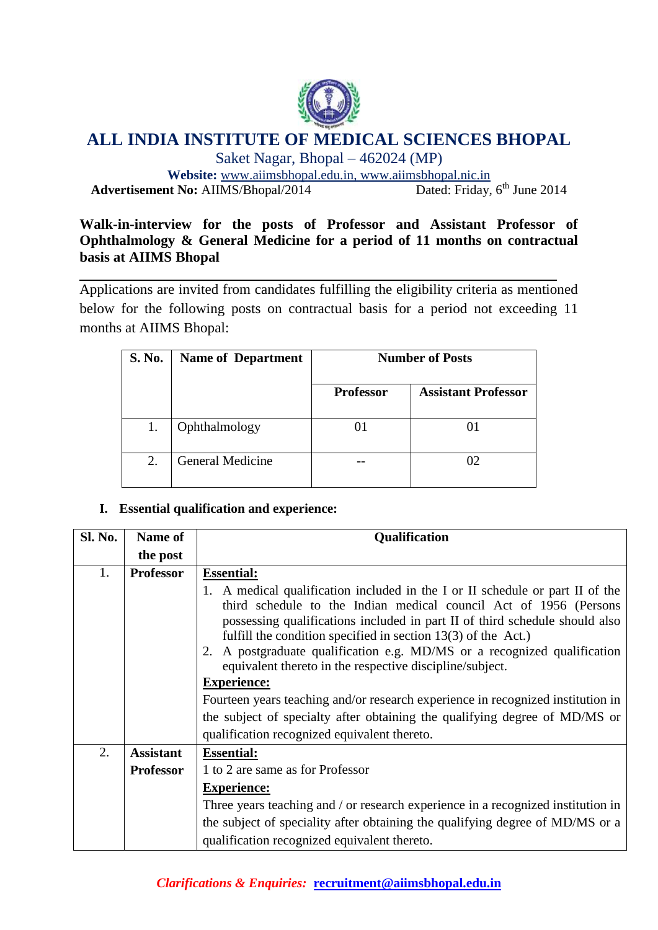

# **ALL INDIA INSTITUTE OF MEDICAL SCIENCES BHOPAL**

Saket Nagar, Bhopal – 462024 (MP)

**Website:** [www.aiimsbhopal.edu.in,](http://www.aiimsbhopal.edu.in/)<www.aiimsbhopal.nic.in> **Advertisement No: AIIMS/Bhopal/2014** Dated: Friday, 6<sup>th</sup> June 2014

# **Walk-in-interview for the posts of Professor and Assistant Professor of Ophthalmology & General Medicine for a period of 11 months on contractual basis at AIIMS Bhopal**

Applications are invited from candidates fulfilling the eligibility criteria as mentioned below for the following posts on contractual basis for a period not exceeding 11 months at AIIMS Bhopal:

| <b>S. No.</b> | <b>Name of Department</b> | <b>Number of Posts</b> |                            |
|---------------|---------------------------|------------------------|----------------------------|
|               |                           | <b>Professor</b>       | <b>Assistant Professor</b> |
|               | Ophthalmology             |                        |                            |
| 2.            | General Medicine          |                        | ΩQ                         |

## **I. Essential qualification and experience:**

| <b>Sl. No.</b> | <b>Name of</b>   | <b>Qualification</b>                                                                                                                                                                                                |  |
|----------------|------------------|---------------------------------------------------------------------------------------------------------------------------------------------------------------------------------------------------------------------|--|
|                | the post         |                                                                                                                                                                                                                     |  |
| 1.             | <b>Professor</b> | <b>Essential:</b><br>1. A medical qualification included in the I or II schedule or part II of the                                                                                                                  |  |
|                |                  | third schedule to the Indian medical council Act of 1956 (Persons<br>possessing qualifications included in part II of third schedule should also<br>fulfill the condition specified in section $13(3)$ of the Act.) |  |
|                |                  | 2. A postgraduate qualification e.g. MD/MS or a recognized qualification<br>equivalent thereto in the respective discipline/subject.                                                                                |  |
|                |                  | <b>Experience:</b>                                                                                                                                                                                                  |  |
|                |                  | Fourteen years teaching and/or research experience in recognized institution in                                                                                                                                     |  |
|                |                  | the subject of specialty after obtaining the qualifying degree of MD/MS or                                                                                                                                          |  |
|                |                  | qualification recognized equivalent thereto.                                                                                                                                                                        |  |
| 2.             | <b>Assistant</b> | <b>Essential:</b>                                                                                                                                                                                                   |  |
|                | <b>Professor</b> | 1 to 2 are same as for Professor                                                                                                                                                                                    |  |
|                |                  | <b>Experience:</b>                                                                                                                                                                                                  |  |
|                |                  | Three years teaching and / or research experience in a recognized institution in                                                                                                                                    |  |
|                |                  | the subject of speciality after obtaining the qualifying degree of MD/MS or a<br>qualification recognized equivalent thereto.                                                                                       |  |

*Clarifications & Enquiries:* **recruitment@aiimsbhopal.edu.in**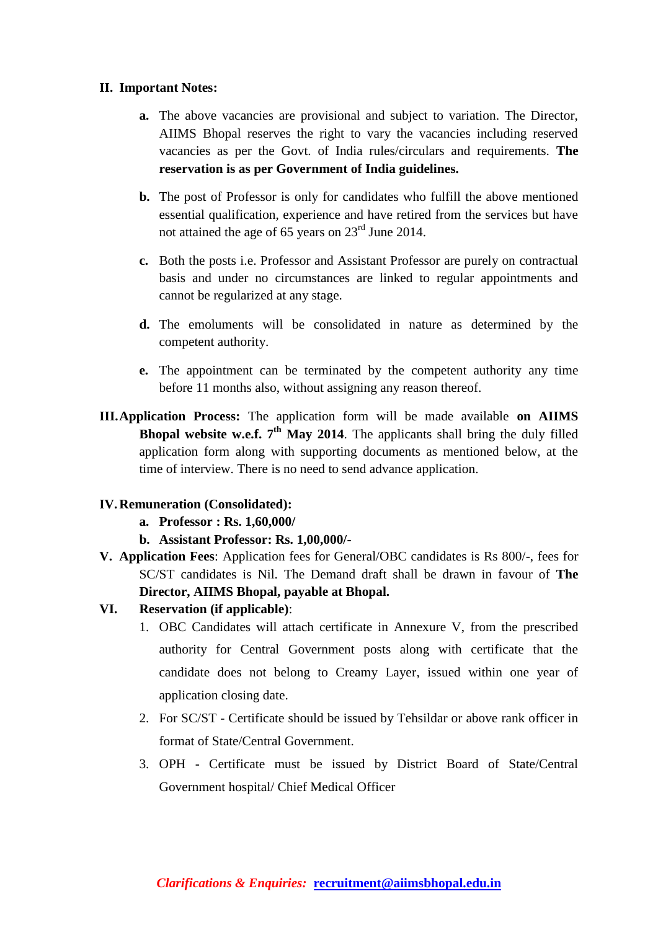#### **II. Important Notes:**

- **a.** The above vacancies are provisional and subject to variation. The Director, AIIMS Bhopal reserves the right to vary the vacancies including reserved vacancies as per the Govt. of India rules/circulars and requirements. **The reservation is as per Government of India guidelines.**
- **b.** The post of Professor is only for candidates who fulfill the above mentioned essential qualification, experience and have retired from the services but have not attained the age of 65 years on 23rd June 2014.
- **c.** Both the posts i.e. Professor and Assistant Professor are purely on contractual basis and under no circumstances are linked to regular appointments and cannot be regularized at any stage.
- **d.** The emoluments will be consolidated in nature as determined by the competent authority.
- **e.** The appointment can be terminated by the competent authority any time before 11 months also, without assigning any reason thereof.
- **III.Application Process:** The application form will be made available **on AIIMS Bhopal website w.e.f.**  $7<sup>th</sup>$  **May 2014.** The applicants shall bring the duly filled application form along with supporting documents as mentioned below, at the time of interview. There is no need to send advance application.

## **IV.Remuneration (Consolidated):**

- **a. Professor : Rs. 1,60,000/**
- **b. Assistant Professor: Rs. 1,00,000/-**
- **V. Application Fees**: Application fees for General/OBC candidates is Rs 800/-, fees for SC/ST candidates is Nil. The Demand draft shall be drawn in favour of **The Director, AIIMS Bhopal, payable at Bhopal.**
- **VI. Reservation (if applicable)**:
	- 1. OBC Candidates will attach certificate in Annexure V, from the prescribed authority for Central Government posts along with certificate that the candidate does not belong to Creamy Layer, issued within one year of application closing date.
	- 2. For SC/ST Certificate should be issued by Tehsildar or above rank officer in format of State/Central Government.
	- 3. OPH Certificate must be issued by District Board of State/Central Government hospital/ Chief Medical Officer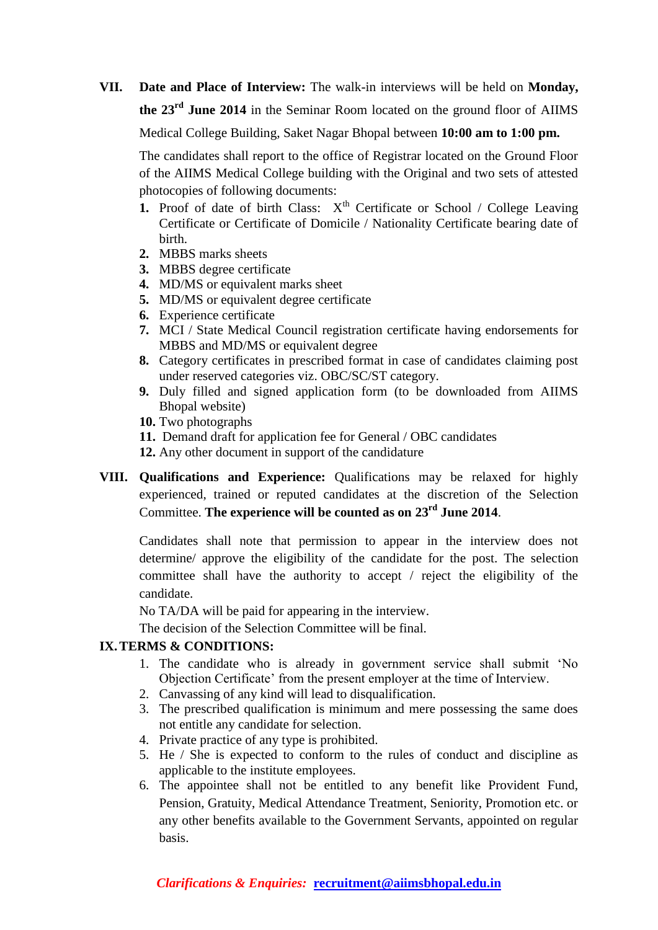**VII. Date and Place of Interview:** The walk-in interviews will be held on **Monday, the 23rd June 2014** in the Seminar Room located on the ground floor of AIIMS

Medical College Building, Saket Nagar Bhopal between **10:00 am to 1:00 pm.**

The candidates shall report to the office of Registrar located on the Ground Floor of the AIIMS Medical College building with the Original and two sets of attested photocopies of following documents:

- **1.** Proof of date of birth Class:  $X^{th}$  Certificate or School / College Leaving Certificate or Certificate of Domicile / Nationality Certificate bearing date of birth.
- **2.** MBBS marks sheets
- **3.** MBBS degree certificate
- **4.** MD/MS or equivalent marks sheet
- **5.** MD/MS or equivalent degree certificate
- **6.** Experience certificate
- **7.** MCI / State Medical Council registration certificate having endorsements for MBBS and MD/MS or equivalent degree
- **8.** Category certificates in prescribed format in case of candidates claiming post under reserved categories viz. OBC/SC/ST category.
- **9.** Duly filled and signed application form (to be downloaded from AIIMS Bhopal website)
- **10.** Two photographs
- **11.** Demand draft for application fee for General / OBC candidates
- **12.** Any other document in support of the candidature
- **VIII. Qualifications and Experience:** Qualifications may be relaxed for highly experienced, trained or reputed candidates at the discretion of the Selection Committee. **The experience will be counted as on 23rd June 2014**.

Candidates shall note that permission to appear in the interview does not determine/ approve the eligibility of the candidate for the post. The selection committee shall have the authority to accept / reject the eligibility of the candidate.

No TA/DA will be paid for appearing in the interview.

The decision of the Selection Committee will be final.

## **IX.TERMS & CONDITIONS:**

- 1. The candidate who is already in government service shall submit 'No Objection Certificate' from the present employer at the time of Interview.
- 2. Canvassing of any kind will lead to disqualification.
- 3. The prescribed qualification is minimum and mere possessing the same does not entitle any candidate for selection.
- 4. Private practice of any type is prohibited.
- 5. He / She is expected to conform to the rules of conduct and discipline as applicable to the institute employees.
- 6. The appointee shall not be entitled to any benefit like Provident Fund, Pension, Gratuity, Medical Attendance Treatment, Seniority, Promotion etc. or any other benefits available to the Government Servants, appointed on regular basis.